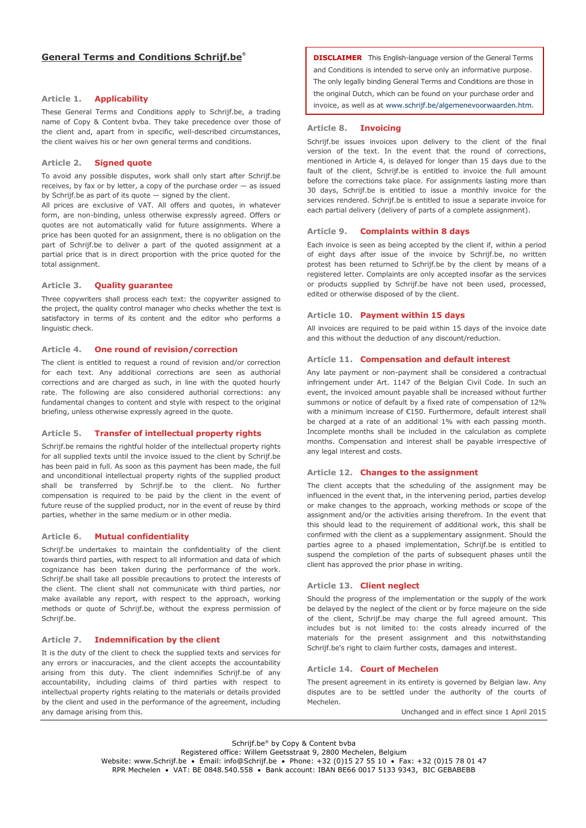### Article 1. Applicability

These General Terms and Conditions apply to Schrijf.be, a trading name of Copy & Content bvba. They take precedence over those of the client and, apart from in specific, well-described circumstances, the client waives his or her own general terms and conditions.

### Article 2. Signed quote

To avoid any possible disputes, work shall only start after Schrijf.be receives, by fax or by letter, a copy of the purchase order — as issued by Schrijf.be as part of its quote — signed by the client.

All prices are exclusive of VAT. All offers and quotes, in whatever form, are non-binding, unless otherwise expressly agreed. Offers or quotes are not automatically valid for future assignments. Where a price has been quoted for an assignment, there is no obligation on the part of Schrijf.be to deliver a part of the quoted assignment at a partial price that is in direct proportion with the price quoted for the total assignment.

## Article 3. Quality guarantee

Three copywriters shall process each text: the copywriter assigned to the project, the quality control manager who checks whether the text is satisfactory in terms of its content and the editor who performs a linguistic check.

# Article 4. One round of revision/correction

The client is entitled to request a round of revision and/or correction for each text. Any additional corrections are seen as authorial corrections and are charged as such, in line with the quoted hourly rate. The following are also considered authorial corrections: any fundamental changes to content and style with respect to the original briefing, unless otherwise expressly agreed in the quote.

### Article 5. Transfer of intellectual property rights

Schrijf.be remains the rightful holder of the intellectual property rights for all supplied texts until the invoice issued to the client by Schrijf.be has been paid in full. As soon as this payment has been made, the full and unconditional intellectual property rights of the supplied product shall be transferred by Schrijf.be to the client. No further compensation is required to be paid by the client in the event of future reuse of the supplied product, nor in the event of reuse by third parties, whether in the same medium or in other media.

## Article 6. Mutual confidentiality

Schrijf.be undertakes to maintain the confidentiality of the client towards third parties, with respect to all information and data of which cognizance has been taken during the performance of the work. Schrijf.be shall take all possible precautions to protect the interests of the client. The client shall not communicate with third parties, nor make available any report, with respect to the approach, working methods or quote of Schrijf.be, without the express permission of Schrijf.be.

## Article 7. Indemnification by the client

It is the duty of the client to check the supplied texts and services for any errors or inaccuracies, and the client accepts the accountability arising from this duty. The client indemnifies Schrijf.be of any accountability, including claims of third parties with respect to intellectual property rights relating to the materials or details provided by the client and used in the performance of the agreement, including any damage arising from this.

DISCLAIMER This English-language version of the General Terms and Conditions is intended to serve only an informative purpose. The only legally binding General Terms and Conditions are those in the original Dutch, which can be found on your purchase order and invoice, as well as at www.schrijf.be/algemenevoorwaarden.htm.

#### Article 8. Invoicing

Schrijf.be issues invoices upon delivery to the client of the final version of the text. In the event that the round of corrections, mentioned in Article 4, is delayed for longer than 15 days due to the fault of the client, Schrijf.be is entitled to invoice the full amount before the corrections take place. For assignments lasting more than 30 days, Schrijf.be is entitled to issue a monthly invoice for the services rendered. Schrijf.be is entitled to issue a separate invoice for each partial delivery (delivery of parts of a complete assignment).

## Article 9. Complaints within 8 days

Each invoice is seen as being accepted by the client if, within a period of eight days after issue of the invoice by Schrijf.be, no written protest has been returned to Schrijf.be by the client by means of a registered letter. Complaints are only accepted insofar as the services or products supplied by Schrijf.be have not been used, processed, edited or otherwise disposed of by the client.

## Article 10. Payment within 15 days

All invoices are required to be paid within 15 days of the invoice date and this without the deduction of any discount/reduction.

### Article 11. Compensation and default interest

Any late payment or non-payment shall be considered a contractual infringement under Art. 1147 of the Belgian Civil Code. In such an event, the invoiced amount payable shall be increased without further summons or notice of default by a fixed rate of compensation of 12% with a minimum increase of €150. Furthermore, default interest shall be charged at a rate of an additional 1% with each passing month. Incomplete months shall be included in the calculation as complete months. Compensation and interest shall be payable irrespective of any legal interest and costs.

## Article 12. Changes to the assignment

The client accepts that the scheduling of the assignment may be influenced in the event that, in the intervening period, parties develop or make changes to the approach, working methods or scope of the assignment and/or the activities arising therefrom. In the event that this should lead to the requirement of additional work, this shall be confirmed with the client as a supplementary assignment. Should the parties agree to a phased implementation, Schrijf.be is entitled to suspend the completion of the parts of subsequent phases until the client has approved the prior phase in writing.

# Article 13. Client neglect

Should the progress of the implementation or the supply of the work be delayed by the neglect of the client or by force majeure on the side of the client, Schrijf.be may charge the full agreed amount. This includes but is not limited to: the costs already incurred of the materials for the present assignment and this notwithstanding Schrijf.be's right to claim further costs, damages and interest.

### Article 14. Court of Mechelen

The present agreement in its entirety is governed by Belgian law. Any disputes are to be settled under the authority of the courts of Mechelen.

Unchanged and in effect since 1 April 2015

Schrijf.be® by Copy & Content bvba Registered office: Willem Geetsstraat 9, 2800 Mechelen, Belgium Website: www.Schrijf.be • Email: info@Schrijf.be • Phone: +32 (0)15 27 55 10 • Fax: +32 (0)15 78 01 47 RPR Mechelen • VAT: BE 0848.540.558 • Bank account: IBAN BE66 0017 5133 9343, BIC GEBABEBB